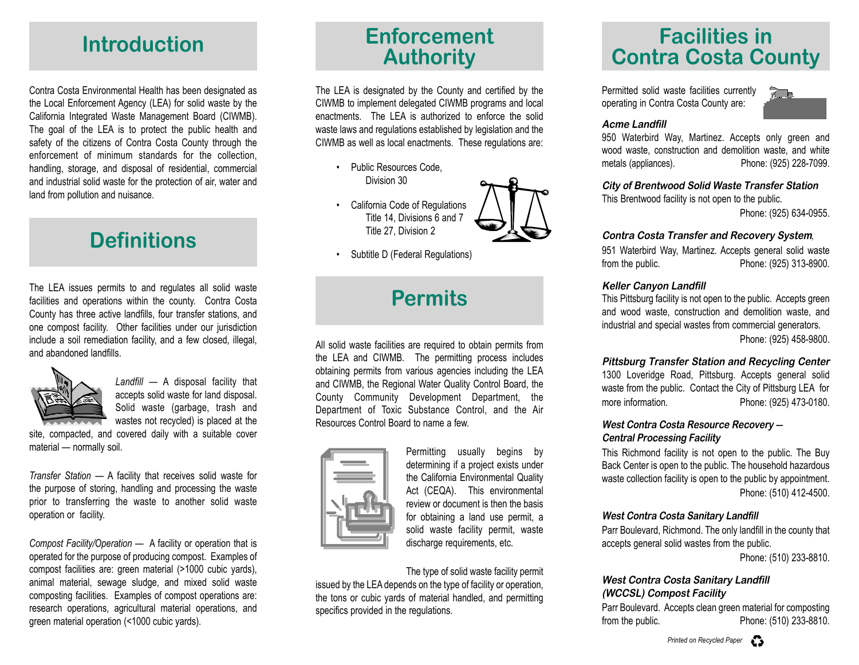Contra Costa Environmental Health has been designated as the Local Enforcement Agency (LEA) for solid waste by the California Integrated Waste Management Board (CIWMB). The goal of the LEA is to protect the public health and safety of the citizens of Contra Costa County through the enforcement of minimum standards for the collection, handling, storage, and disposal of residential, commercial and industrial solid waste for the protection of air, water and land from pollution and nuisance.

## **Definitions**

The LEA issues permits to and regulates all solid waste facilities and operations within the county. Contra Costa County has three active landfills, four transfer stations, and one compost facility. Other facilities under our jurisdiction include a soil remediation facility, and a few closed, illegal, and abandoned landfills.



*Landfill* — A disposal facility that accepts solid waste for land disposal. Solid waste (garbage, trash and wastes not recycled) is placed at the

site, compacted, and covered daily with a suitable cover material — normally soil.

*Transfer Station* — A facility that receives solid waste for the purpose of storing, handling and processing the waste prior to transferring the waste to another solid waste operation or facility.

*Compost Facility/Operation* — A facility or operation that is operated for the purpose of producing compost. Examples of compost facilities are: green material (>1000 cubic yards), animal material, sewage sludge, and mixed solid waste composting facilities. Examples of compost operations are: research operations, agricultural material operations, and green material operation (<1000 cubic yards).

The LEA is designated by the County and certified by the CIWMB to implement delegated CIWMB programs and local enactments. The LEA is authorized to enforce the solid waste laws and regulations established by legislation and the CIWMB as well as local enactments. These regulations are:

• Public Resources Code, Division 30

• California Code of Regulations Title 14, Divisions 6 and 7 Title 27, Division 2



•Subtitle D (Federal Regulations)

# **Permits**

All solid waste facilities are required to obtain permits from the LEA and CIWMB. The permitting process includes obtaining permits from various agencies including the LEA and CIWMB, the Regional Water Quality Control Board, the County Community Development Department, the Department of Toxic Substance Control, and the Air Resources Control Board to name a few.



Permitting usually begins by determining if a project exists under the California Environmental Quality Act (CEQA). This environmental review or document is then the basis for obtaining a land use permit, a solid waste facility permit, waste discharge requirements, etc.

The type of solid waste facility permit issued by the LEA depends on the type of facility or operation, the tons or cubic yards of material handled, and permitting specifics provided in the regulations.

# **Introduction**<br> **Enforcement**<br> **Authority Enforcement**<br> **Contra Costa County**

Permitted solid waste facilities currently operating in Contra Costa County are:



## **Acme Landfill**

950 Waterbird Way, Martinez. Accepts only green and wood waste, construction and demolition waste, and white metals (appliances). Phone: (925) 228-7099.

#### **City of Brentwood Solid Waste Transfer Station**

This Brentwood facility is not open to the public.

Phone: (925) 634-0955.

#### **Contra Costa Transfer and Recovery System***,*

951 Waterbird Way, Martinez. Accepts general solid waste from the public. Phone: (925) 313-8900.

#### **Keller Canyon Landfill**

This Pittsburg facility is not open to the public. Accepts green and wood waste, construction and demolition waste, and industrial and special wastes from commercial generators.

Phone: (925) 458-9800.

#### **Pittsburg Transfer Station and Recycling Center**

1300 Loveridge Road, Pittsburg. Accepts general solid waste from the public. Contact the City of Pittsburg LEA for more information. Phone: (925) 473-0180.

#### **West Contra Costa Resource Recovery — Central Processing Facility**

This Richmond facility is not open to the public. The Buy Back Center is open to the public. The household hazardous waste collection facility is open to the public by appointment. Phone: (510) 412-4500.

#### **West Contra Costa Sanitary Landfill**

Parr Boulevard, Richmond. The only landfill in the county that accepts general solid wastes from the public.

Phone: (510) 233-8810.

## **West Contra Costa Sanitary Landfill (WCCSL) Compost Facility**

Parr Boulevard. Accepts clean green material for composting from the public. Phone: (510) 233-8810.